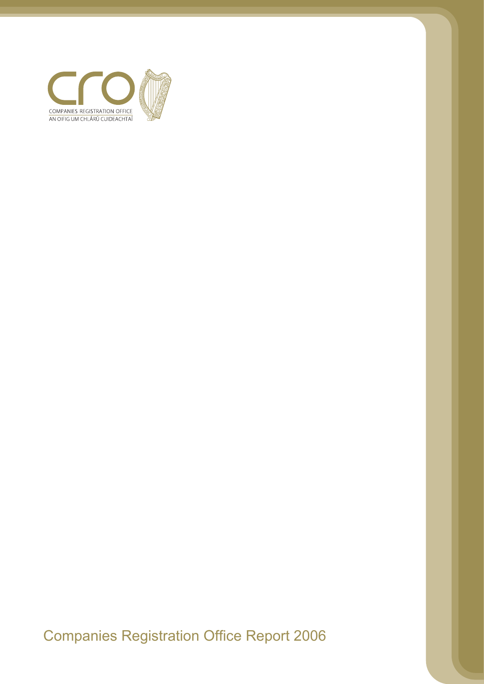

Companies Registration Office Report 2006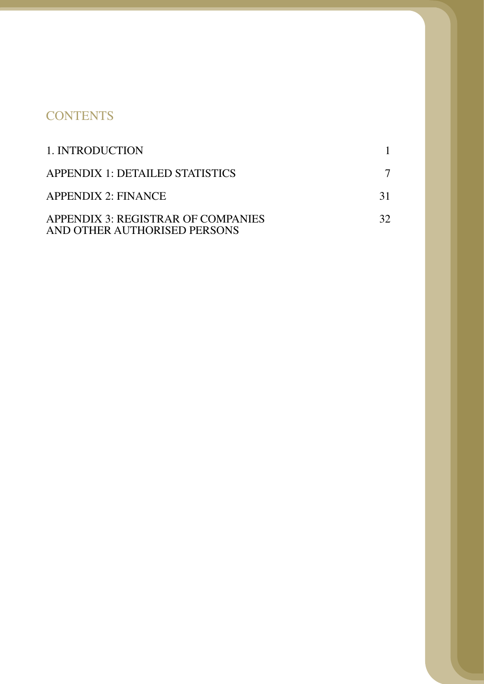# **CONTENTS**

| 1. INTRODUCTION                                                    |    |
|--------------------------------------------------------------------|----|
| APPENDIX 1: DETAILED STATISTICS                                    |    |
| <b>APPENDIX 2: FINANCE</b>                                         | 31 |
| APPENDIX 3: REGISTRAR OF COMPANIES<br>AND OTHER AUTHORISED PERSONS | 32 |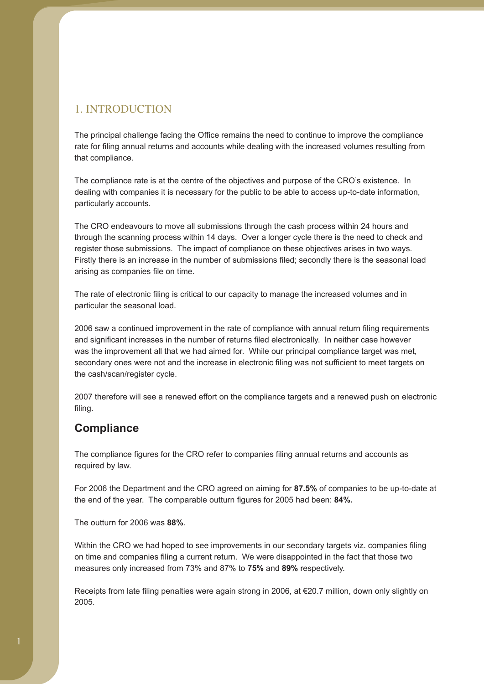## 1. INTRODUCTION

that compliance. The principal challenge facing the Office remains the need to continue to improve the compliance rate for filing annual returns and accounts while dealing with the increased volumes resulting from

The compliance rate is at the centre of the objectives and purpose of the CRO's existence. In dealing with companies it is necessary for the public to be able to access up-to-date information, particularly accounts.

The CRO endeavours to move all submissions through the cash process within 24 hours and through the scanning process within 14 days. Over a longer cycle there is the need to check and register those submissions. The impact of compliance on these objectives arises in two ways. Firstly there is an increase in the number of submissions filed; secondly there is the seasonal load arising as companies file on time.

particular the seasonal load. The rate of electronic filing is critical to our capacity to manage the increased volumes and in

and significant increases in the number of returns filed electronically. In neither case however was the improvement all that we had aimed for. While our principal compliance target was met, the cash/scan/register cycle. 2006 saw a continued improvement in the rate of compliance with annual return filing requirements secondary ones were not and the increase in electronic filing was not sufficient to meet targets on

filing. 2007 therefore will see a renewed effort on the compliance targets and a renewed push on electronic

### **Compliance**

The compliance figures for the CRO refer to companies filing annual returns and accounts as required by law.

For 2006 the Department and the CRO agreed on aiming for **87.5%** of companies to be up-to-date at **84%.** the end of the year. The comparable outturn figures for 2005 had been:

The outturn for 2006 was **88%**.

measures only increased from 73% and 87% to **75%** and **89%** respectively. Within the CRO we had hoped to see improvements in our secondary targets viz. companies filing on time and companies filing a current return. We were disappointed in the fact that those two

2005. Receipts from late filing penalties were again strong in 2006, at €20.7 million, down only slightly on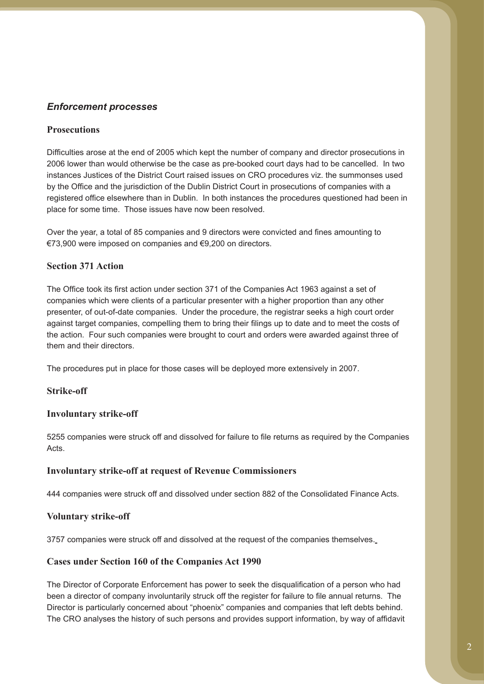### *Enforcement processes*

### **Prosecutions**

Difficulties arose at the end of 2005 which kept the number of company and director prosecutions in 2006 lower than would otherwise be the case as pre-booked court days had to be cancelled. In two instances Justices of the District Court raised issues on CRO procedures viz. the summonses used by the Office and the jurisdiction of the Dublin District Court in prosecutions of companies with a registered office elsewhere than in Dublin. In both instances the procedures questioned had been in place for some time. Those issues have now been resolved.

Over the year, a total of 85 companies and 9 directors were convicted and fines amounting to €73,900 were imposed on companies and €9,200 on directors.

### **Section 371 Action**

The Office took its first action under section 371 of the Companies Act 1963 against a set of companies which were clients of a particular presenter with a higher proportion than any other presenter, of out-of-date companies. Under the procedure, the registrar seeks a high court order against target companies, compelling them to bring their filings up to date and to meet the costs of the action. Four such companies were brought to court and orders were awarded against three of them and their directors.

The procedures put in place for those cases will be deployed more extensively in 2007.

### **Strike-off**

#### **Involuntary strike-off**

5255 companies were struck off and dissolved for failure to file returns as required by the Companies Acts.

#### **Involuntary strike-off at request of Revenue Commissioners**

444 companies were struck off and dissolved under section 882 of the Consolidated Finance Acts.

#### **Voluntary strike-off**

3757 companies were struck off and dissolved at the request of the companies themselves.

### **Cases under Section 160 of the Companies Act 1990**

The Director of Corporate Enforcement has power to seek the disqualification of a person who had been a director of company involuntarily struck off the register for failure to file annual returns. The Director is particularly concerned about "phoenix" companies and companies that left debts behind. The CRO analyses the history of such persons and provides support information, by way of affidavit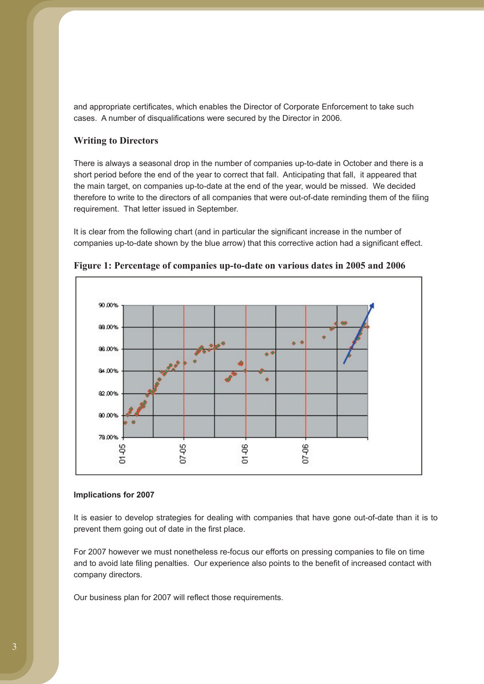and appropriate certificates, which enables the Director of Corporate Enforcement to take such cases. A number of disqualifications were secured by the Director in 2006.

#### **Writing to Directors**

There is always a seasonal drop in the number of companies up-to-date in October and there is a short period before the end of the year to correct that fall. Anticipating that fall, it appeared that the main target, on companies up-to-date at the end of the year, would be missed. We decided therefore to write to the directors of all companies that were out-of-date reminding them of the filing requirement. That letter issued in September.

It is clear from the following chart (and in particular the significant increase in the number of companies up-to-date shown by the blue arrow) that this corrective action had a significant effect.



**Figure 1: Percentage of companies up-to-date on various dates in 2005 and 2006** 

#### **Implications for 2007**

It is easier to develop strategies for dealing with companies that have gone out-of-date than it is to prevent them going out of date in the first place.

For 2007 however we must nonetheless re-focus our efforts on pressing companies to file on time and to avoid late filing penalties. Our experience also points to the benefit of increased contact with company directors.

Our business plan for 2007 will reflect those requirements.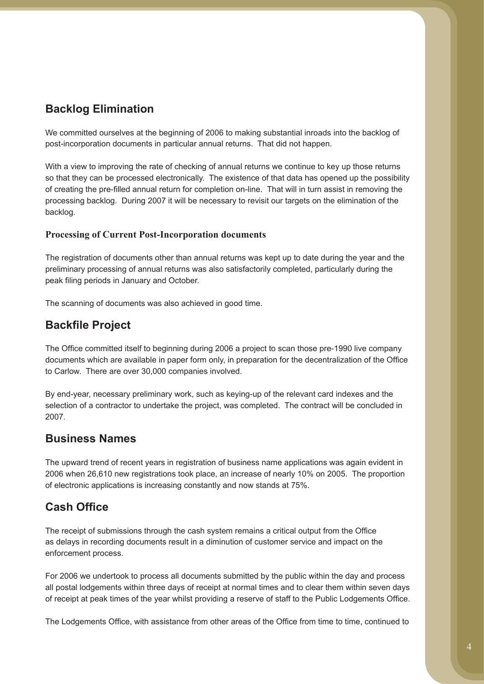# **Backlog Elimination**

We committed ourselves at the beginning of 2006 to making substantial inroads into the backlog of post-incorporation documents in particular annual returns. That did not happen.

With a view to improving the rate of checking of annual returns we continue to key up those returns so that they can be processed electronically. The existence of that data has opened up the possibility of creating the pre-filled annual return for completion on-line. That will in turn assist in removing the processing backlog. During 2007 it will be necessary to revisit our targets on the elimination of the backlog.

### **Processing of Current Post-Incorporation documents**

The registration of documents other than annual returns was kept up to date during the year and the preliminary processing of annual returns was also satisfactorily completed, particularly during the peak filing periods in January and October.

The scanning of documents was also achieved in good time.

# **Backfile Project**

The Office committed itself to beginning during 2006 a project to scan those pre-1990 live company documents which are available in paper form only, in preparation for the decentralization of the Office to Carlow. There are over 30,000 companies involved.

By end-year, necessary preliminary work, such as keying-up of the relevant card indexes and the selection of a contractor to undertake the project, was completed. The contract will be concluded in 2007.

## **Business Names**

The upward trend of recent years in registration of business name applications was again evident in 2006 when 26,610 new registrations took place, an increase of nearly 10% on 2005. The proportion of electronic applications is increasing constantly and now stands at 75%.

# **Cash Office**

The receipt of submissions through the cash system remains a critical output from the Office as delays in recording documents result in a diminution of customer service and impact on the enforcement process.

For 2006 we undertook to process all documents submitted by the public within the day and process all postal lodgements within three days of receipt at normal times and to clear them within seven days of receipt at peak times of the year whilst providing a reserve of staff to the Public Lodgements Office.

The Lodgements Office, with assistance from other areas of the Office from time to time, continued to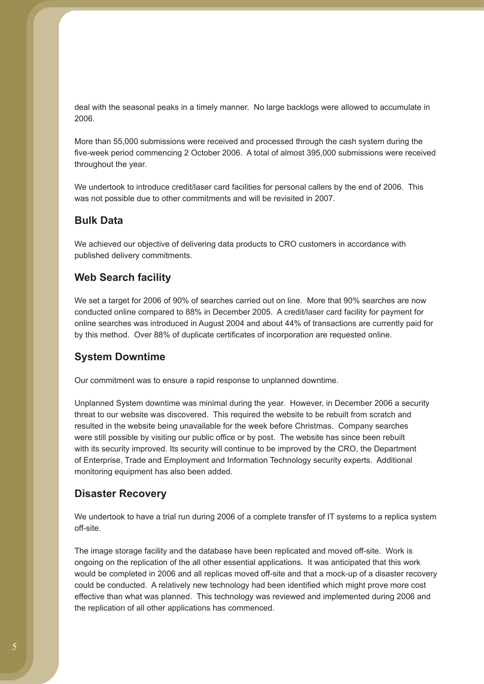deal with the seasonal peaks in a timely manner. No large backlogs were allowed to accumulate in 2006.

More than 55,000 submissions were received and processed through the cash system during the five-week period commencing 2 October 2006. A total of almost 395,000 submissions were received throughout the year.

We undertook to introduce credit/laser card facilities for personal callers by the end of 2006. This was not possible due to other commitments and will be revisited in 2007.

### **Bulk Data**

We achieved our objective of delivering data products to CRO customers in accordance with published delivery commitments.

### **Web Search facility**

We set a target for 2006 of 90% of searches carried out on line. More that 90% searches are now conducted online compared to 88% in December 2005. A credit/laser card facility for payment for online searches was introduced in August 2004 and about 44% of transactions are currently paid for by this method. Over 88% of duplicate certificates of incorporation are requested online.

### **System Downtime**

Our commitment was to ensure a rapid response to unplanned downtime.

Unplanned System downtime was minimal during the year. However, in December 2006 a security threat to our website was discovered. This required the website to be rebuilt from scratch and resulted in the website being unavailable for the week before Christmas. Company searches were still possible by visiting our public office or by post. The website has since been rebuilt with its security improved. Its security will continue to be improved by the CRO, the Department of Enterprise, Trade and Employment and Information Technology security experts. Additional monitoring equipment has also been added.

### **Disaster Recovery**

We undertook to have a trial run during 2006 of a complete transfer of IT systems to a replica system off-site.

The image storage facility and the database have been replicated and moved off-site. Work is ongoing on the replication of the all other essential applications. It was anticipated that this work would be completed in 2006 and all replicas moved off-site and that a mock-up of a disaster recovery could be conducted. A relatively new technology had been identified which might prove more cost effective than what was planned. This technology was reviewed and implemented during 2006 and the replication of all other applications has commenced.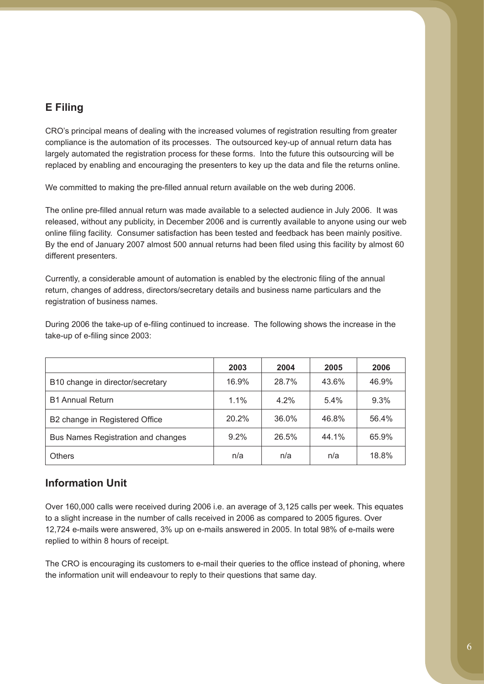### **E Filing**

CRO's principal means of dealing with the increased volumes of registration resulting from greater compliance is the automation of its processes. The outsourced key-up of annual return data has largely automated the registration process for these forms. Into the future this outsourcing will be replaced by enabling and encouraging the presenters to key up the data and file the returns online.

We committed to making the pre-filled annual return available on the web during 2006.

The online pre-filled annual return was made available to a selected audience in July 2006. It was released, without any publicity, in December 2006 and is currently available to anyone using our web online filing facility. Consumer satisfaction has been tested and feedback has been mainly positive. By the end of January 2007 almost 500 annual returns had been filed using this facility by almost 60 different presenters.

Currently, a considerable amount of automation is enabled by the electronic filing of the annual return, changes of address, directors/secretary details and business name particulars and the registration of business names.

During 2006 the take-up of e-filing continued to increase. The following shows the increase in the take-up of e-filing since 2003:

|                                    | 2003  | 2004  | 2005  | 2006  |
|------------------------------------|-------|-------|-------|-------|
| B10 change in director/secretary   | 16.9% | 28.7% | 43.6% | 46.9% |
| <b>B1 Annual Return</b>            | 1.1%  | 4.2%  | 5.4%  | 9.3%  |
| B2 change in Registered Office     | 20.2% | 36.0% | 46.8% | 56.4% |
| Bus Names Registration and changes | 9.2%  | 26.5% | 44.1% | 65.9% |
| <b>Others</b>                      | n/a   | n/a   | n/a   | 18.8% |

### **Information Unit**

Over 160,000 calls were received during 2006 i.e. an average of 3,125 calls per week. This equates to a slight increase in the number of calls received in 2006 as compared to 2005 figures. Over 12,724 e-mails were answered, 3% up on e-mails answered in 2005. In total 98% of e-mails were replied to within 8 hours of receipt.

The CRO is encouraging its customers to e-mail their queries to the office instead of phoning, where the information unit will endeavour to reply to their questions that same day.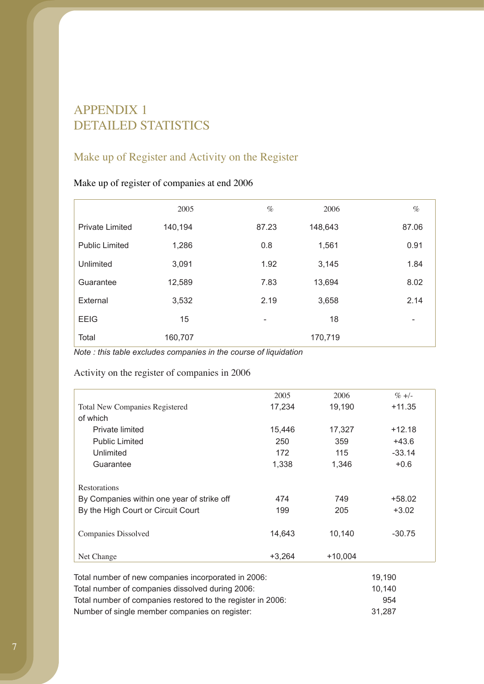# APPENDIX 1 DETAILED STATISTICS

# Make up of Register and Activity on the Register

### Make up of register of companies at end 2006

|                        | 2005    | $\%$                     | 2006    | $\%$  |
|------------------------|---------|--------------------------|---------|-------|
| <b>Private Limited</b> | 140,194 | 87.23                    | 148,643 | 87.06 |
| <b>Public Limited</b>  | 1,286   | 0.8                      | 1,561   | 0.91  |
| Unlimited              | 3,091   | 1.92                     | 3,145   | 1.84  |
| Guarantee              | 12,589  | 7.83                     | 13,694  | 8.02  |
| External               | 3,532   | 2.19                     | 3,658   | 2.14  |
| <b>EEIG</b>            | 15      | $\overline{\phantom{a}}$ | 18      | -     |
| Total                  | 160,707 |                          | 170,719 |       |

*Note : this table excludes companies in the course of liquidation* 

### Activity on the register of companies in 2006

|                                            | 2005     | 2006      | $\% +/-$ |
|--------------------------------------------|----------|-----------|----------|
| <b>Total New Companies Registered</b>      | 17,234   | 19,190    | $+11.35$ |
| of which                                   |          |           |          |
| Private limited                            | 15,446   | 17,327    | $+12.18$ |
| <b>Public Limited</b>                      | 250      | 359       | $+43.6$  |
| Unlimited                                  | 172      | 115       | $-33.14$ |
| Guarantee                                  | 1,338    | 1,346     | $+0.6$   |
|                                            |          |           |          |
| Restorations                               |          |           |          |
| By Companies within one year of strike off | 474      | 749       | $+58.02$ |
| By the High Court or Circuit Court         | 199      | 205       | $+3.02$  |
|                                            |          |           |          |
| Companies Dissolved                        | 14,643   | 10,140    | $-30.75$ |
|                                            |          |           |          |
| Net Change                                 | $+3,264$ | $+10,004$ |          |

| Total number of new companies incorporated in 2006:         | 19.190 |
|-------------------------------------------------------------|--------|
| Total number of companies dissolved during 2006:            | 10.140 |
| Total number of companies restored to the register in 2006: | 954    |
| Number of single member companies on register:              | 31.287 |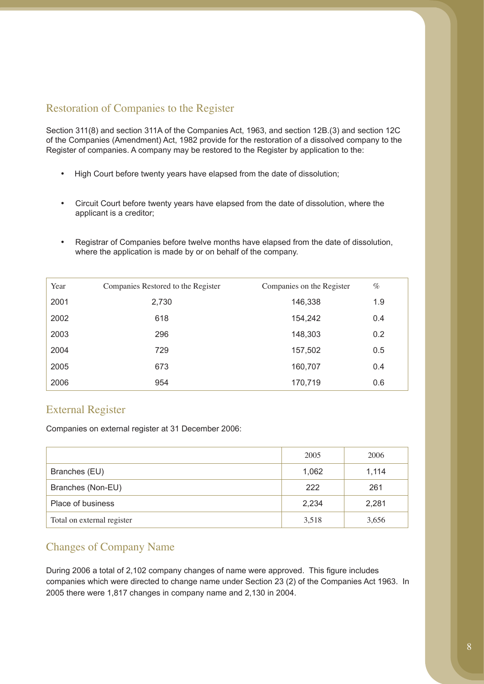## Restoration of Companies to the Register

Section 311(8) and section 311A of the Companies Act, 1963, and section 12B.(3) and section 12C of the Companies (Amendment) Act, 1982 provide for the restoration of a dissolved company to the Register of companies. A company may be restored to the Register by application to the:

- High Court before twenty years have elapsed from the date of dissolution;
- Circuit Court before twenty years have elapsed from the date of dissolution, where the applicant is a creditor;
- Registrar of Companies before twelve months have elapsed from the date of dissolution, where the application is made by or on behalf of the company.

| Year | Companies Restored to the Register | Companies on the Register | $\%$ |
|------|------------------------------------|---------------------------|------|
| 2001 | 2,730                              | 146,338                   | 1.9  |
| 2002 | 618                                | 154,242                   | 0.4  |
| 2003 | 296                                | 148,303                   | 0.2  |
| 2004 | 729                                | 157,502                   | 0.5  |
| 2005 | 673                                | 160,707                   | 0.4  |
| 2006 | 954                                | 170,719                   | 0.6  |

## External Register

Companies on external register at 31 December 2006:

|                            | 2005  | 2006  |
|----------------------------|-------|-------|
| Branches (EU)              | 1,062 | 1,114 |
| Branches (Non-EU)          | 222   | 261   |
| Place of business          | 2,234 | 2,281 |
| Total on external register | 3,518 | 3,656 |

### Changes of Company Name

During 2006 a total of 2,102 company changes of name were approved. This figure includes companies which were directed to change name under Section 23 (2) of the Companies Act 1963. In 2005 there were 1,817 changes in company name and 2,130 in 2004.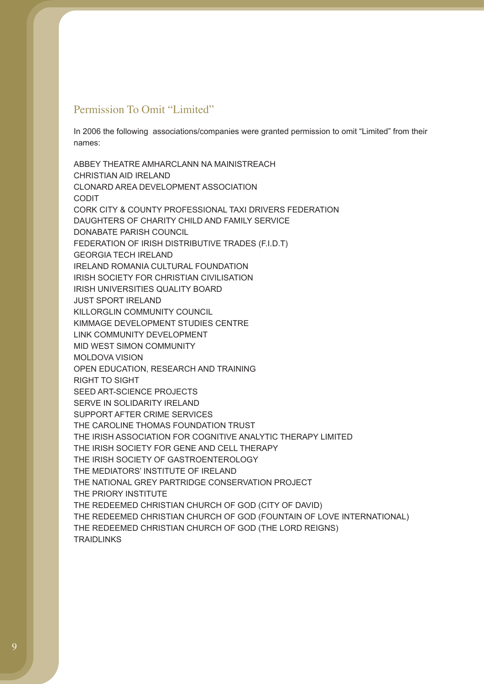### Permission To Omit "Limited"

In 2006 the following associations/companies were granted permission to omit "Limited" from their names:

ABBEY THEATRE AMHARCLANN NA MAINISTREACH CHRISTIAN AID IRELAND CLONARD AREA DEVELOPMENT ASSOCIATION CODIT CORK CITY & COUNTY PROFESSIONAL TAXI DRIVERS FEDERATION DAUGHTERS OF CHARITY CHILD AND FAMILY SERVICE DONABATE PARISH COUNCIL FEDERATION OF IRISH DISTRIBUTIVE TRADES (F.I.D.T) GEORGIA TECH IRELAND IRELAND ROMANIA CULTURAL FOUNDATION IRISH SOCIETY FOR CHRISTIAN CIVILISATION IRISH UNIVERSITIES QUALITY BOARD JUST SPORT IRELAND KILLORGLIN COMMUNITY COUNCIL KIMMAGE DEVELOPMENT STUDIES CENTRE LINK COMMUNITY DEVELOPMENT MID WEST SIMON COMMUNITY MOLDOVA VISION OPEN EDUCATION, RESEARCH AND TRAINING RIGHT TO SIGHT SEED ART-SCIENCE PROJECTS SERVE IN SOLIDARITY IRELAND SUPPORT AFTER CRIME SERVICES THE CAROLINE THOMAS FOUNDATION TRUST THE IRISH ASSOCIATION FOR COGNITIVE ANALYTIC THERAPY LIMITED THE IRISH SOCIETY FOR GENE AND CELL THERAPY THE IRISH SOCIETY OF GASTROENTEROLOGY THE MEDIATORS' INSTITUTE OF IRELAND THE NATIONAL GREY PARTRIDGE CONSERVATION PROJECT THE PRIORY INSTITUTE THE REDEEMED CHRISTIAN CHURCH OF GOD (CITY OF DAVID) THE REDEEMED CHRISTIAN CHURCH OF GOD (FOUNTAIN OF LOVE INTERNATIONAL) THE REDEEMED CHRISTIAN CHURCH OF GOD (THE LORD REIGNS) **TRAIDLINKS**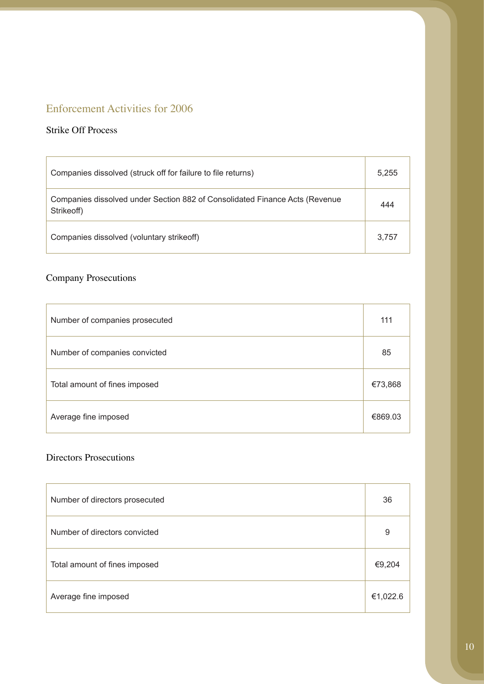# Enforcement Activities for 2006

### Strike Off Process

| Companies dissolved (struck off for failure to file returns)                              | 5,255 |
|-------------------------------------------------------------------------------------------|-------|
| Companies dissolved under Section 882 of Consolidated Finance Acts (Revenue<br>Strikeoff) | 444   |
| Companies dissolved (voluntary strike off)                                                | 3.757 |

# Company Prosecutions

| Number of companies prosecuted | 111     |
|--------------------------------|---------|
| Number of companies convicted  | 85      |
| Total amount of fines imposed  | €73,868 |
| Average fine imposed           | €869.03 |

### Directors Prosecutions

| Number of directors prosecuted | 36       |
|--------------------------------|----------|
| Number of directors convicted  | 9        |
| Total amount of fines imposed  | €9,204   |
| Average fine imposed           | €1,022.6 |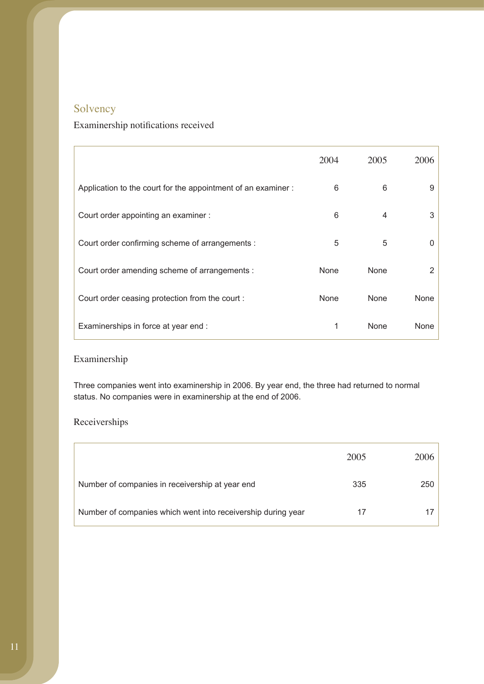# Solvency

# Examinership notifications received

|                                                              | 2004 | 2005 | 2006 |
|--------------------------------------------------------------|------|------|------|
| Application to the court for the appointment of an examiner: | 6    | 6    | 9    |
| Court order appointing an examiner :                         | 6    | 4    | 3    |
| Court order confirming scheme of arrangements :              | 5    | 5    | 0    |
| Court order amending scheme of arrangements :                | None | None | 2    |
| Court order ceasing protection from the court:               | None | None | None |
| Examinerships in force at year end :                         | 1    | None | None |

### Examinership

Three companies went into examinership in 2006. By year end, the three had returned to normal status. No companies were in examinership at the end of 2006.

### Receiverships

|                                                              | 2005 | 2006 |
|--------------------------------------------------------------|------|------|
| Number of companies in receivership at year end              | 335  | 250  |
| Number of companies which went into receivership during year |      |      |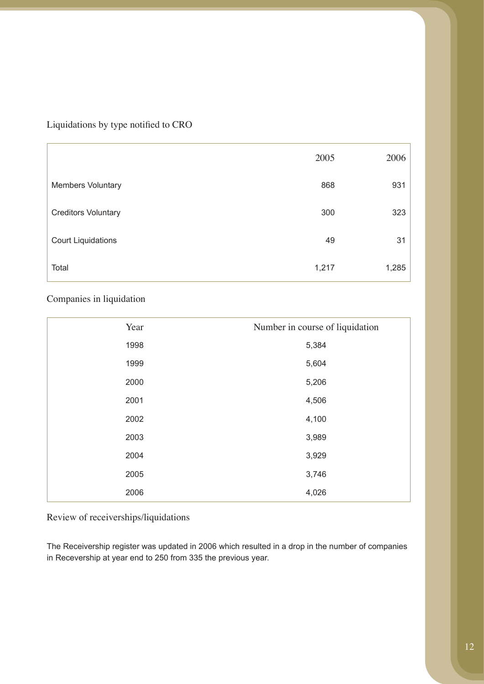### Liquidations by type notified to CRO

|                            | 2005  | 2006  |
|----------------------------|-------|-------|
| <b>Members Voluntary</b>   | 868   | 931   |
| <b>Creditors Voluntary</b> | 300   | 323   |
| <b>Court Liquidations</b>  | 49    | 31    |
| Total                      | 1,217 | 1,285 |

### Companies in liquidation

| Year | Number in course of liquidation |
|------|---------------------------------|
| 1998 | 5,384                           |
| 1999 | 5,604                           |
| 2000 | 5,206                           |
| 2001 | 4,506                           |
| 2002 | 4,100                           |
| 2003 | 3,989                           |
| 2004 | 3,929                           |
| 2005 | 3,746                           |
| 2006 | 4,026                           |

Review of receiverships/liquidations

The Receivership register was updated in 2006 which resulted in a drop in the number of companies in Recevership at year end to 250 from 335 the previous year.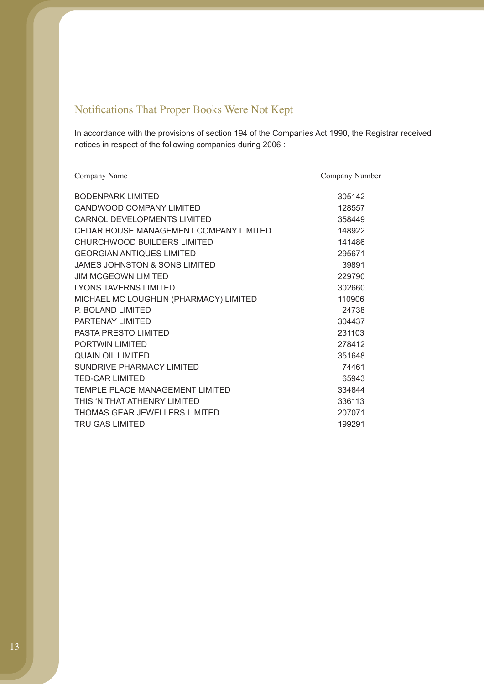# Notifications That Proper Books Were Not Kept

In accordance with the provisions of section 194 of the Companies Act 1990, the Registrar received notices in respect of the following companies during 2006 :

| Company Name                           | Company Number |
|----------------------------------------|----------------|
| <b>BODENPARK LIMITED</b>               | 305142         |
| CANDWOOD COMPANY LIMITED               | 128557         |
| CARNOL DEVELOPMENTS LIMITED            | 358449         |
| CEDAR HOUSE MANAGEMENT COMPANY LIMITED | 148922         |
| CHURCHWOOD BUILDERS LIMITED            | 141486         |
| <b>GEORGIAN ANTIQUES LIMITED</b>       | 295671         |
| JAMES JOHNSTON & SONS LIMITED          | 39891          |
| <b>JIM MCGEOWN LIMITED</b>             | 229790         |
| LYONS TAVERNS LIMITED                  | 302660         |
| MICHAEL MC LOUGHLIN (PHARMACY) LIMITED | 110906         |
| P. BOLAND LIMITED                      | 24738          |
| PARTENAY LIMITED                       | 304437         |
| <b>PASTA PRESTO LIMITED</b>            | 231103         |
| PORTWIN LIMITED                        | 278412         |
| <b>QUAIN OIL LIMITED</b>               | 351648         |
| SUNDRIVE PHARMACY LIMITED              | 74461          |
| TED-CAR LIMITED                        | 65943          |
| TEMPLE PLACE MANAGEMENT LIMITED        | 334844         |
| THIS 'N THAT ATHENRY LIMITED           | 336113         |
| THOMAS GEAR JEWELLERS LIMITED          | 207071         |
| <b>TRU GAS LIMITED</b>                 | 199291         |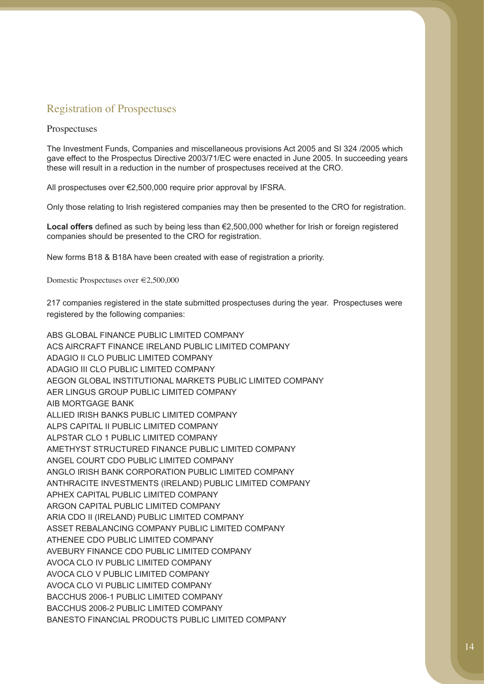### Registration of Prospectuses

#### Prospectuses

The Investment Funds, Companies and miscellaneous provisions Act 2005 and SI 324 /2005 which gave effect to the Prospectus Directive 2003/71/EC were enacted in June 2005. In succeeding years these will result in a reduction in the number of prospectuses received at the CRO.

All prospectuses over €2,500,000 require prior approval by IFSRA.

Only those relating to Irish registered companies may then be presented to the CRO for registration.

**Local offers** defined as such by being less than €2,500,000 whether for Irish or foreign registered companies should be presented to the CRO for registration.

New forms B18 & B18A have been created with ease of registration a priority.

Domestic Prospectuses over €2,500,000

217 companies registered in the state submitted prospectuses during the year. Prospectuses were registered by the following companies:

ABS GLOBAL FINANCE PUBLIC LIMITED COMPANY ACS AIRCRAFT FINANCE IRELAND PUBLIC LIMITED COMPANY ADAGIO II CLO PUBLIC LIMITED COMPANY ADAGIO III CLO PUBLIC LIMITED COMPANY AEGON GLOBAL INSTITUTIONAL MARKETS PUBLIC LIMITED COMPANY AER LINGUS GROUP PUBLIC LIMITED COMPANY AIB MORTGAGE BANK ALLIED IRISH BANKS PUBLIC LIMITED COMPANY ALPS CAPITAL II PUBLIC LIMITED COMPANY ALPSTAR CLO 1 PUBLIC LIMITED COMPANY AMETHYST STRUCTURED FINANCE PUBLIC LIMITED COMPANY ANGEL COURT CDO PUBLIC LIMITED COMPANY ANGLO IRISH BANK CORPORATION PUBLIC LIMITED COMPANY ANTHRACITE INVESTMENTS (IRELAND) PUBLIC LIMITED COMPANY APHEX CAPITAL PUBLIC LIMITED COMPANY ARGON CAPITAL PUBLIC LIMITED COMPANY ARIA CDO II (IRELAND) PUBLIC LIMITED COMPANY ASSET REBALANCING COMPANY PUBLIC LIMITED COMPANY ATHENEE CDO PUBLIC LIMITED COMPANY AVEBURY FINANCE CDO PUBLIC LIMITED COMPANY AVOCA CLO IV PUBLIC LIMITED COMPANY AVOCA CLO V PUBLIC LIMITED COMPANY AVOCA CLO VI PUBLIC LIMITED COMPANY BACCHUS 2006-1 PUBLIC LIMITED COMPANY BACCHUS 2006-2 PUBLIC LIMITED COMPANY BANESTO FINANCIAL PRODUCTS PUBLIC LIMITED COMPANY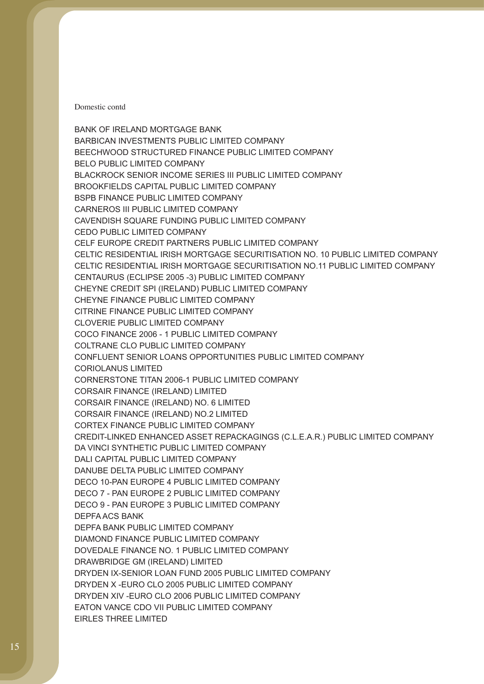BANK OF IRELAND MORTGAGE BANK BARBICAN INVESTMENTS PUBLIC LIMITED COMPANY BEECHWOOD STRUCTURED FINANCE PUBLIC LIMITED COMPANY BELO PUBLIC LIMITED COMPANY BLACKROCK SENIOR INCOME SERIES III PUBLIC LIMITED COMPANY BROOKFIELDS CAPITAL PUBLIC LIMITED COMPANY BSPB FINANCE PUBLIC LIMITED COMPANY CARNEROS III PUBLIC LIMITED COMPANY CAVENDISH SQUARE FUNDING PUBLIC LIMITED COMPANY CEDO PUBLIC LIMITED COMPANY CELF EUROPE CREDIT PARTNERS PUBLIC LIMITED COMPANY CELTIC RESIDENTIAL IRISH MORTGAGE SECURITISATION NO. 10 PUBLIC LIMITED COMPANY CELTIC RESIDENTIAL IRISH MORTGAGE SECURITISATION NO.11 PUBLIC LIMITED COMPANY CENTAURUS (ECLIPSE 2005 -3) PUBLIC LIMITED COMPANY CHEYNE CREDIT SPI (IRELAND) PUBLIC LIMITED COMPANY CHEYNE FINANCE PUBLIC LIMITED COMPANY CITRINE FINANCE PUBLIC LIMITED COMPANY CLOVERIE PUBLIC LIMITED COMPANY COCO FINANCE 2006 - 1 PUBLIC LIMITED COMPANY COLTRANE CLO PUBLIC LIMITED COMPANY CONFLUENT SENIOR LOANS OPPORTUNITIES PUBLIC LIMITED COMPANY CORIOLANUS LIMITED CORNERSTONE TITAN 2006-1 PUBLIC LIMITED COMPANY CORSAIR FINANCE (IRELAND) LIMITED CORSAIR FINANCE (IRELAND) NO. 6 LIMITED CORSAIR FINANCE (IRELAND) NO.2 LIMITED CORTEX FINANCE PUBLIC LIMITED COMPANY CREDIT-LINKED ENHANCED ASSET REPACKAGINGS (C.L.E.A.R.) PUBLIC LIMITED COMPANY DA VINCI SYNTHETIC PUBLIC LIMITED COMPANY DALI CAPITAL PUBLIC LIMITED COMPANY DANUBE DELTA PUBLIC LIMITED COMPANY DECO 10-PAN EUROPE 4 PUBLIC LIMITED COMPANY DECO 7 - PAN EUROPE 2 PUBLIC LIMITED COMPANY DECO 9 - PAN EUROPE 3 PUBLIC LIMITED COMPANY DEPFA ACS BANK DEPFA BANK PUBLIC LIMITED COMPANY DIAMOND FINANCE PUBLIC LIMITED COMPANY DOVEDALE FINANCE NO. 1 PUBLIC LIMITED COMPANY DRAWBRIDGE GM (IRELAND) LIMITED DRYDEN IX-SENIOR LOAN FUND 2005 PUBLIC LIMITED COMPANY DRYDEN X -EURO CLO 2005 PUBLIC LIMITED COMPANY DRYDEN XIV -EURO CLO 2006 PUBLIC LIMITED COMPANY EATON VANCE CDO VII PUBLIC LIMITED COMPANY EIRLES THREE LIMITED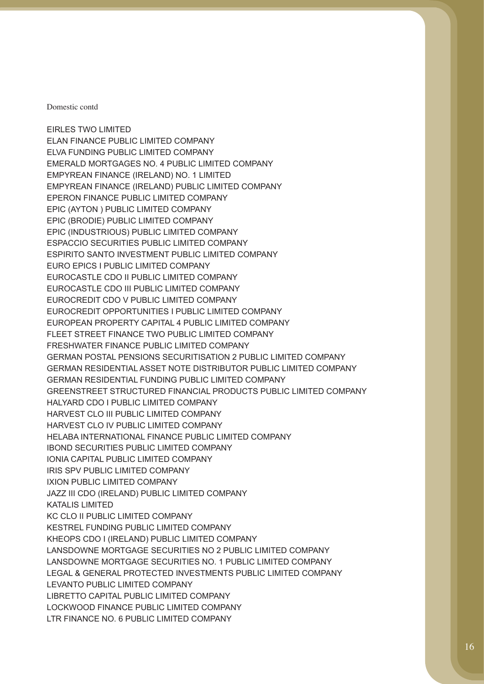EIRLES TWO LIMITED ELAN FINANCE PUBLIC LIMITED COMPANY ELVA FUNDING PUBLIC LIMITED COMPANY EMERALD MORTGAGES NO. 4 PUBLIC LIMITED COMPANY EMPYREAN FINANCE (IRELAND) NO. 1 LIMITED EMPYREAN FINANCE (IRELAND) PUBLIC LIMITED COMPANY EPERON FINANCE PUBLIC LIMITED COMPANY EPIC (AYTON ) PUBLIC LIMITED COMPANY EPIC (BRODIE) PUBLIC LIMITED COMPANY EPIC (INDUSTRIOUS) PUBLIC LIMITED COMPANY ESPACCIO SECURITIES PUBLIC LIMITED COMPANY ESPIRITO SANTO INVESTMENT PUBLIC LIMITED COMPANY EURO EPICS I PUBLIC LIMITED COMPANY EUROCASTLE CDO II PUBLIC LIMITED COMPANY EUROCASTLE CDO III PUBLIC LIMITED COMPANY EUROCREDIT CDO V PUBLIC LIMITED COMPANY EUROCREDIT OPPORTUNITIES I PUBLIC LIMITED COMPANY EUROPEAN PROPERTY CAPITAL 4 PUBLIC LIMITED COMPANY FLEET STREET FINANCE TWO PUBLIC LIMITED COMPANY FRESHWATER FINANCE PUBLIC LIMITED COMPANY GERMAN POSTAL PENSIONS SECURITISATION 2 PUBLIC LIMITED COMPANY GERMAN RESIDENTIAL ASSET NOTE DISTRIBUTOR PUBLIC LIMITED COMPANY GERMAN RESIDENTIAL FUNDING PUBLIC LIMITED COMPANY GREENSTREET STRUCTURED FINANCIAL PRODUCTS PUBLIC LIMITED COMPANY HALYARD CDO I PUBLIC LIMITED COMPANY HARVEST CLO III PUBLIC LIMITED COMPANY HARVEST CLO IV PUBLIC LIMITED COMPANY HELABA INTERNATIONAL FINANCE PUBLIC LIMITED COMPANY IBOND SECURITIES PUBLIC LIMITED COMPANY IONIA CAPITAL PUBLIC LIMITED COMPANY IRIS SPV PUBLIC LIMITED COMPANY IXION PUBLIC LIMITED COMPANY JAZZ III CDO (IRELAND) PUBLIC LIMITED COMPANY KATALIS LIMITED KC CLO II PUBLIC LIMITED COMPANY KESTREL FUNDING PUBLIC LIMITED COMPANY KHEOPS CDO I (IRELAND) PUBLIC LIMITED COMPANY LANSDOWNE MORTGAGE SECURITIES NO 2 PUBLIC LIMITED COMPANY LANSDOWNE MORTGAGE SECURITIES NO. 1 PUBLIC LIMITED COMPANY LEGAL & GENERAL PROTECTED INVESTMENTS PUBLIC LIMITED COMPANY LEVANTO PUBLIC LIMITED COMPANY LIBRETTO CAPITAL PUBLIC LIMITED COMPANY LOCKWOOD FINANCE PUBLIC LIMITED COMPANY LTR FINANCE NO. 6 PUBLIC LIMITED COMPANY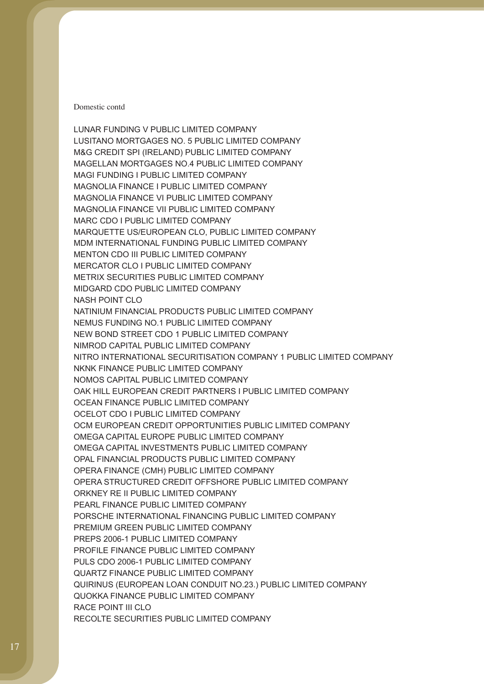LUNAR FUNDING V PUBLIC LIMITED COMPANY LUSITANO MORTGAGES NO. 5 PUBLIC LIMITED COMPANY M&G CREDIT SPI (IRELAND) PUBLIC LIMITED COMPANY MAGELLAN MORTGAGES NO.4 PUBLIC LIMITED COMPANY MAGI FUNDING I PUBLIC LIMITED COMPANY MAGNOLIA FINANCE I PUBLIC LIMITED COMPANY MAGNOLIA FINANCE VI PUBLIC LIMITED COMPANY MAGNOLIA FINANCE VII PUBLIC LIMITED COMPANY MARC CDO I PUBLIC LIMITED COMPANY MARQUETTE US/EUROPEAN CLO, PUBLIC LIMITED COMPANY MDM INTERNATIONAL FUNDING PUBLIC LIMITED COMPANY MENTON CDO III PUBLIC LIMITED COMPANY MERCATOR CLO I PUBLIC LIMITED COMPANY METRIX SECURITIES PUBLIC LIMITED COMPANY MIDGARD CDO PUBLIC LIMITED COMPANY NASH POINT CLO NATINIUM FINANCIAL PRODUCTS PUBLIC LIMITED COMPANY NEMUS FUNDING NO.1 PUBLIC LIMITED COMPANY NEW BOND STREET CDO 1 PUBLIC LIMITED COMPANY NIMROD CAPITAL PUBLIC LIMITED COMPANY NITRO INTERNATIONAL SECURITISATION COMPANY 1 PUBLIC LIMITED COMPANY NKNK FINANCE PUBLIC LIMITED COMPANY NOMOS CAPITAL PUBLIC LIMITED COMPANY OAK HILL EUROPEAN CREDIT PARTNERS I PUBLIC LIMITED COMPANY OCEAN FINANCE PUBLIC LIMITED COMPANY OCELOT CDO I PUBLIC LIMITED COMPANY OCM EUROPEAN CREDIT OPPORTUNITIES PUBLIC LIMITED COMPANY OMEGA CAPITAL EUROPE PUBLIC LIMITED COMPANY OMEGA CAPITAL INVESTMENTS PUBLIC LIMITED COMPANY OPAL FINANCIAL PRODUCTS PUBLIC LIMITED COMPANY OPERA FINANCE (CMH) PUBLIC LIMITED COMPANY OPERA STRUCTURED CREDIT OFFSHORE PUBLIC LIMITED COMPANY ORKNEY RE II PUBLIC LIMITED COMPANY PEARL FINANCE PUBLIC LIMITED COMPANY PORSCHE INTERNATIONAL FINANCING PUBLIC LIMITED COMPANY PREMIUM GREEN PUBLIC LIMITED COMPANY PREPS 2006-1 PUBLIC LIMITED COMPANY PROFILE FINANCE PUBLIC LIMITED COMPANY PULS CDO 2006-1 PUBLIC LIMITED COMPANY QUARTZ FINANCE PUBLIC LIMITED COMPANY QUIRINUS (EUROPEAN LOAN CONDUIT NO.23.) PUBLIC LIMITED COMPANY QUOKKA FINANCE PUBLIC LIMITED COMPANY RACE POINT III CLO RECOLTE SECURITIES PUBLIC LIMITED COMPANY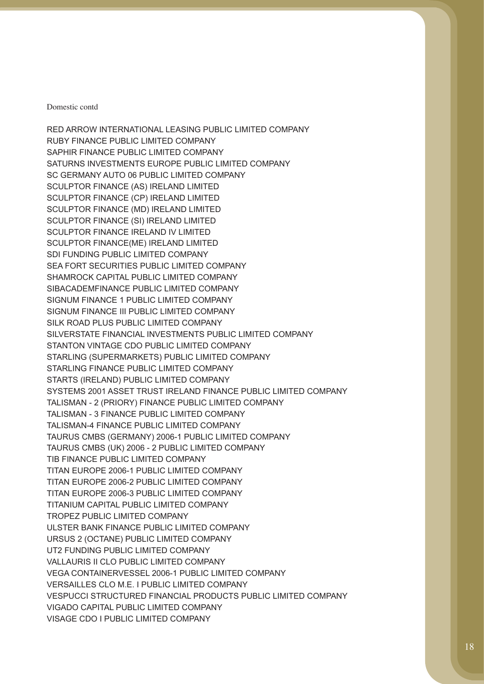RED ARROW INTERNATIONAL LEASING PUBLIC LIMITED COMPANY RUBY FINANCE PUBLIC LIMITED COMPANY SAPHIR FINANCE PUBLIC LIMITED COMPANY SATURNS INVESTMENTS EUROPE PUBLIC LIMITED COMPANY SC GERMANY AUTO 06 PUBLIC LIMITED COMPANY SCULPTOR FINANCE (AS) IRELAND LIMITED SCULPTOR FINANCE (CP) IRELAND LIMITED SCULPTOR FINANCE (MD) IRELAND LIMITED SCULPTOR FINANCE (SI) IRELAND LIMITED SCULPTOR FINANCE IRELAND IV LIMITED SCULPTOR FINANCE(ME) IRELAND LIMITED SDI FUNDING PUBLIC LIMITED COMPANY SEA FORT SECURITIES PUBLIC LIMITED COMPANY SHAMROCK CAPITAL PUBLIC LIMITED COMPANY SIBACADEMFINANCE PUBLIC LIMITED COMPANY SIGNUM FINANCE 1 PUBLIC LIMITED COMPANY SIGNUM FINANCE III PUBLIC LIMITED COMPANY SILK ROAD PLUS PUBLIC LIMITED COMPANY SILVERSTATE FINANCIAL INVESTMENTS PUBLIC LIMITED COMPANY STANTON VINTAGE CDO PUBLIC LIMITED COMPANY STARLING (SUPERMARKETS) PUBLIC LIMITED COMPANY STARLING FINANCE PUBLIC LIMITED COMPANY STARTS (IRELAND) PUBLIC LIMITED COMPANY SYSTEMS 2001 ASSET TRUST IRELAND FINANCE PUBLIC LIMITED COMPANY TALISMAN - 2 (PRIORY) FINANCE PUBLIC LIMITED COMPANY TALISMAN - 3 FINANCE PUBLIC LIMITED COMPANY TALISMAN-4 FINANCE PUBLIC LIMITED COMPANY TAURUS CMBS (GERMANY) 2006-1 PUBLIC LIMITED COMPANY TAURUS CMBS (UK) 2006 - 2 PUBLIC LIMITED COMPANY TIB FINANCE PUBLIC LIMITED COMPANY TITAN EUROPE 2006-1 PUBLIC LIMITED COMPANY TITAN EUROPE 2006-2 PUBLIC LIMITED COMPANY TITAN EUROPE 2006-3 PUBLIC LIMITED COMPANY TITANIUM CAPITAL PUBLIC LIMITED COMPANY TROPEZ PUBLIC LIMITED COMPANY ULSTER BANK FINANCE PUBLIC LIMITED COMPANY URSUS 2 (OCTANE) PUBLIC LIMITED COMPANY UT2 FUNDING PUBLIC LIMITED COMPANY VALLAURIS II CLO PUBLIC LIMITED COMPANY VEGA CONTAINERVESSEL 2006-1 PUBLIC LIMITED COMPANY VERSAILLES CLO M.E. I PUBLIC LIMITED COMPANY VESPUCCI STRUCTURED FINANCIAL PRODUCTS PUBLIC LIMITED COMPANY VIGADO CAPITAL PUBLIC LIMITED COMPANY VISAGE CDO I PUBLIC LIMITED COMPANY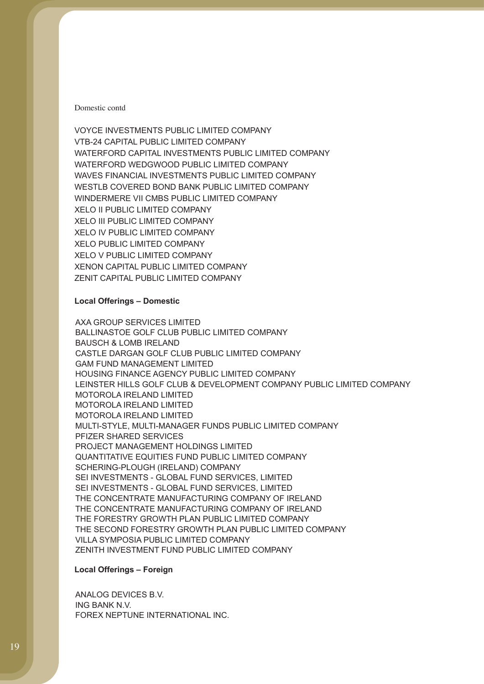VOYCE INVESTMENTS PUBLIC LIMITED COMPANY VTB-24 CAPITAL PUBLIC LIMITED COMPANY WATERFORD CAPITAL INVESTMENTS PUBLIC LIMITED COMPANY WATERFORD WEDGWOOD PUBLIC LIMITED COMPANY WAVES FINANCIAL INVESTMENTS PUBLIC LIMITED COMPANY WESTLB COVERED BOND BANK PUBLIC LIMITED COMPANY WINDERMERE VII CMBS PUBLIC LIMITED COMPANY XELO II PUBLIC LIMITED COMPANY XELO III PUBLIC LIMITED COMPANY XELO IV PUBLIC LIMITED COMPANY XELO PUBLIC LIMITED COMPANY XELO V PUBLIC LIMITED COMPANY XENON CAPITAL PUBLIC LIMITED COMPANY ZENIT CAPITAL PUBLIC LIMITED COMPANY

#### **Local Offerings – Domestic**

AXA GROUP SERVICES LIMITED BALLINASTOE GOLF CLUB PUBLIC LIMITED COMPANY BAUSCH & LOMB IRELAND CASTLE DARGAN GOLF CLUB PUBLIC LIMITED COMPANY GAM FUND MANAGEMENT LIMITED HOUSING FINANCE AGENCY PUBLIC LIMITED COMPANY LEINSTER HILLS GOLF CLUB & DEVELOPMENT COMPANY PUBLIC LIMITED COMPANY MOTOROLA IRELAND LIMITED MOTOROLA IRELAND LIMITED MOTOROLA IRELAND LIMITED MULTI-STYLE, MULTI-MANAGER FUNDS PUBLIC LIMITED COMPANY PFIZER SHARED SERVICES PROJECT MANAGEMENT HOLDINGS LIMITED QUANTITATIVE EQUITIES FUND PUBLIC LIMITED COMPANY SCHERING-PLOUGH (IRELAND) COMPANY SEI INVESTMENTS - GLOBAL FUND SERVICES, LIMITED SEI INVESTMENTS - GLOBAL FUND SERVICES, LIMITED THE CONCENTRATE MANUFACTURING COMPANY OF IRELAND THE CONCENTRATE MANUFACTURING COMPANY OF IRELAND THE FORESTRY GROWTH PLAN PUBLIC LIMITED COMPANY THE SECOND FORESTRY GROWTH PLAN PUBLIC LIMITED COMPANY VILLA SYMPOSIA PUBLIC LIMITED COMPANY ZENITH INVESTMENT FUND PUBLIC LIMITED COMPANY

#### **Local Offerings – Foreign**

ANALOG DEVICES B.V. ING BANK N.V. FOREX NEPTUNE INTERNATIONAL INC.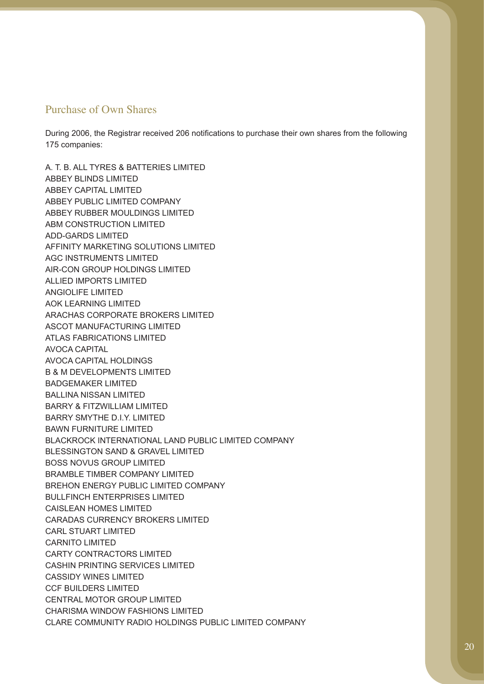### Purchase of Own Shares

During 2006, the Registrar received 206 notifications to purchase their own shares from the following 175 companies:

A. T. B. ALL TYRES & BATTERIES LIMITED ABBEY BLINDS LIMITED ABBEY CAPITAL LIMITED ABBEY PUBLIC LIMITED COMPANY ABBEY RUBBER MOULDINGS LIMITED ABM CONSTRUCTION LIMITED ADD-GARDS LIMITED AFFINITY MARKETING SOLUTIONS LIMITED AGC INSTRUMENTS LIMITED AIR-CON GROUP HOLDINGS LIMITED ALLIED IMPORTS LIMITED ANGIOLIFE LIMITED AOK LEARNING LIMITED ARACHAS CORPORATE BROKERS LIMITED ASCOT MANUFACTURING LIMITED ATLAS FABRICATIONS LIMITED AVOCA CAPITAL AVOCA CAPITAL HOLDINGS B & M DEVELOPMENTS LIMITED BADGEMAKER LIMITED BALLINA NISSAN LIMITED BARRY & FITZWILLIAM LIMITED BARRY SMYTHE D.I.Y. LIMITED BAWN FURNITURE LIMITED BLACKROCK INTERNATIONAL LAND PUBLIC LIMITED COMPANY BLESSINGTON SAND & GRAVEL LIMITED BOSS NOVUS GROUP LIMITED BRAMBLE TIMBER COMPANY LIMITED BREHON ENERGY PUBLIC LIMITED COMPANY BULLFINCH ENTERPRISES LIMITED CAISLEAN HOMES LIMITED CARADAS CURRENCY BROKERS LIMITED CARL STUART LIMITED CARNITO LIMITED CARTY CONTRACTORS LIMITED CASHIN PRINTING SERVICES LIMITED CASSIDY WINES LIMITED CCF BUILDERS LIMITED CENTRAL MOTOR GROUP LIMITED CHARISMA WINDOW FASHIONS LIMITED CLARE COMMUNITY RADIO HOLDINGS PUBLIC LIMITED COMPANY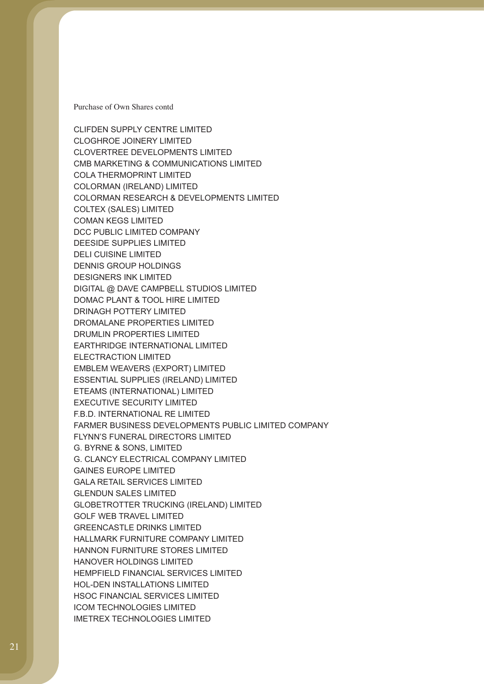Purchase of Own Shares contd

CLIFDEN SUPPLY CENTRE LIMITED CLOGHROE JOINERY LIMITED CLOVERTREE DEVELOPMENTS LIMITED CMB MARKETING & COMMUNICATIONS LIMITED COLA THERMOPRINT LIMITED COLORMAN (IRELAND) LIMITED COLORMAN RESEARCH & DEVELOPMENTS LIMITED COLTEX (SALES) LIMITED COMAN KEGS LIMITED DCC PUBLIC LIMITED COMPANY DEESIDE SUPPLIES LIMITED DELI CUISINE LIMITED DENNIS GROUP HOLDINGS DESIGNERS INK LIMITED DIGITAL @ DAVE CAMPBELL STUDIOS LIMITED DOMAC PLANT & TOOL HIRE LIMITED DRINAGH POTTERY LIMITED DROMALANE PROPERTIES LIMITED DRUMLIN PROPERTIES LIMITED EARTHRIDGE INTERNATIONAL LIMITED ELECTRACTION LIMITED EMBLEM WEAVERS (EXPORT) LIMITED ESSENTIAL SUPPLIES (IRELAND) LIMITED ETEAMS (INTERNATIONAL) LIMITED EXECUTIVE SECURITY LIMITED F.B.D. INTERNATIONAL RE LIMITED FARMER BUSINESS DEVELOPMENTS PUBLIC LIMITED COMPANY FLYNN'S FUNERAL DIRECTORS LIMITED G. BYRNE & SONS, LIMITED G. CLANCY ELECTRICAL COMPANY LIMITED GAINES EUROPE LIMITED GALA RETAIL SERVICES LIMITED GLENDUN SALES LIMITED GLOBETROTTER TRUCKING (IRELAND) LIMITED GOLF WEB TRAVEL LIMITED GREENCASTLE DRINKS LIMITED HALLMARK FURNITURE COMPANY LIMITED HANNON FURNITURE STORES LIMITED HANOVER HOLDINGS LIMITED HEMPFIELD FINANCIAL SERVICES LIMITED HOL-DEN INSTALLATIONS LIMITED HSOC FINANCIAL SERVICES LIMITED ICOM TECHNOLOGIES LIMITED IMETREX TECHNOLOGIES LIMITED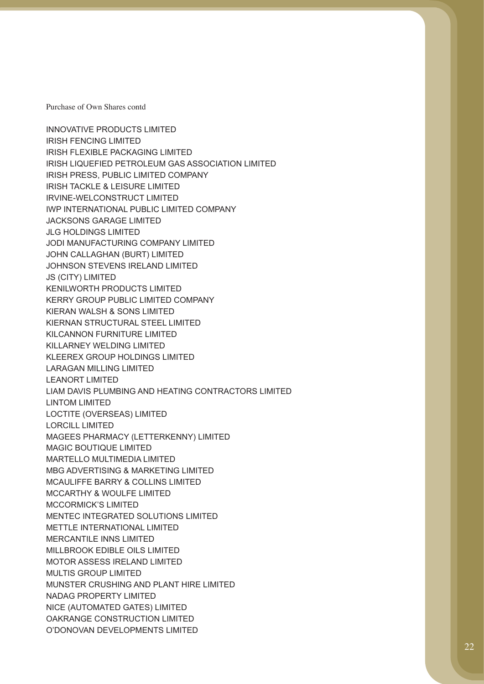Purchase of Own Shares contd

INNOVATIVE PRODUCTS LIMITED IRISH FENCING LIMITED IRISH FLEXIBLE PACKAGING LIMITED IRISH LIQUEFIED PETROLEUM GAS ASSOCIATION LIMITED IRISH PRESS, PUBLIC LIMITED COMPANY IRISH TACKLE & LEISURE LIMITED IRVINE-WELCONSTRUCT LIMITED IWP INTERNATIONAL PUBLIC LIMITED COMPANY JACKSONS GARAGE LIMITED JLG HOLDINGS LIMITED JODI MANUFACTURING COMPANY LIMITED JOHN CALLAGHAN (BURT) LIMITED JOHNSON STEVENS IRELAND LIMITED JS (CITY) LIMITED KENILWORTH PRODUCTS LIMITED KERRY GROUP PUBLIC LIMITED COMPANY KIERAN WALSH & SONS LIMITED KIERNAN STRUCTURAL STEEL LIMITED KILCANNON FURNITURE LIMITED KILLARNEY WELDING LIMITED KLEEREX GROUP HOLDINGS LIMITED LARAGAN MILLING LIMITED LEANORT LIMITED LIAM DAVIS PLUMBING AND HEATING CONTRACTORS LIMITED LINTOM LIMITED LOCTITE (OVERSEAS) LIMITED LORCILL LIMITED MAGEES PHARMACY (LETTERKENNY) LIMITED MAGIC BOUTIQUE LIMITED MARTELLO MULTIMEDIA LIMITED MBG ADVERTISING & MARKETING LIMITED MCAULIFFE BARRY & COLLINS LIMITED MCCARTHY & WOULFE LIMITED MCCORMICK'S LIMITED MENTEC INTEGRATED SOLUTIONS LIMITED METTLE INTERNATIONAL LIMITED MERCANTILE INNS LIMITED MILLBROOK EDIBLE OILS LIMITED MOTOR ASSESS IRELAND LIMITED MULTIS GROUP LIMITED MUNSTER CRUSHING AND PLANT HIRE LIMITED NADAG PROPERTY LIMITED NICE (AUTOMATED GATES) LIMITED OAKRANGE CONSTRUCTION LIMITED O'DONOVAN DEVELOPMENTS LIMITED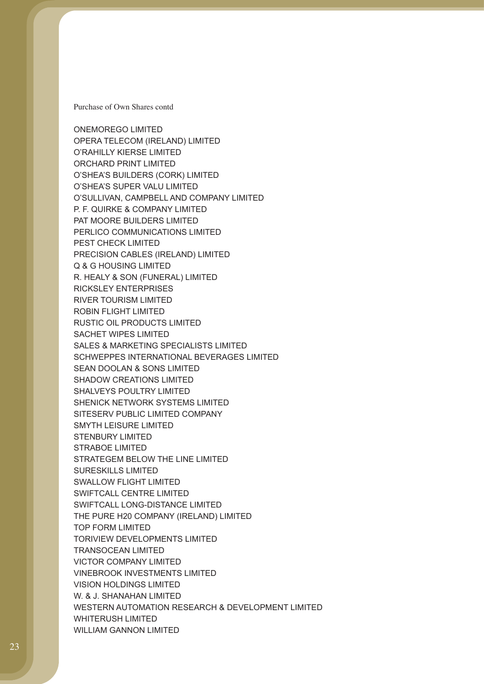Purchase of Own Shares contd

ONEMOREGO LIMITED OPERA TELECOM (IRELAND) LIMITED O'RAHILLY KIERSE LIMITED ORCHARD PRINT LIMITED O'SHEA'S BUILDERS (CORK) LIMITED O'SHEA'S SUPER VALU LIMITED O'SULLIVAN, CAMPBELL AND COMPANY LIMITED P. F. QUIRKE & COMPANY LIMITED PAT MOORE BUILDERS LIMITED PERLICO COMMUNICATIONS LIMITED PEST CHECK LIMITED PRECISION CABLES (IRELAND) LIMITED Q & G HOUSING LIMITED R. HEALY & SON (FUNERAL) LIMITED RICKSLEY ENTERPRISES RIVER TOURISM LIMITED ROBIN FLIGHT LIMITED RUSTIC OIL PRODUCTS LIMITED SACHET WIPES LIMITED SALES & MARKETING SPECIALISTS LIMITED SCHWEPPES INTERNATIONAL BEVERAGES LIMITED SEAN DOOLAN & SONS LIMITED SHADOW CREATIONS LIMITED SHALVEYS POULTRY LIMITED SHENICK NETWORK SYSTEMS LIMITED SITESERV PUBLIC LIMITED COMPANY SMYTH LEISURE LIMITED STENBURY LIMITED STRABOE LIMITED STRATEGEM BELOW THE LINE LIMITED SURESKILLS LIMITED SWALLOW FLIGHT LIMITED SWIFTCALL CENTRE LIMITED SWIFTCALL LONG-DISTANCE LIMITED THE PURE H20 COMPANY (IRELAND) LIMITED TOP FORM LIMITED TORIVIEW DEVELOPMENTS LIMITED TRANSOCEAN LIMITED VICTOR COMPANY LIMITED VINEBROOK INVESTMENTS LIMITED VISION HOLDINGS LIMITED W. & J. SHANAHAN LIMITED WESTERN AUTOMATION RESEARCH & DEVELOPMENT LIMITED WHITERUSH LIMITED WILLIAM GANNON LIMITED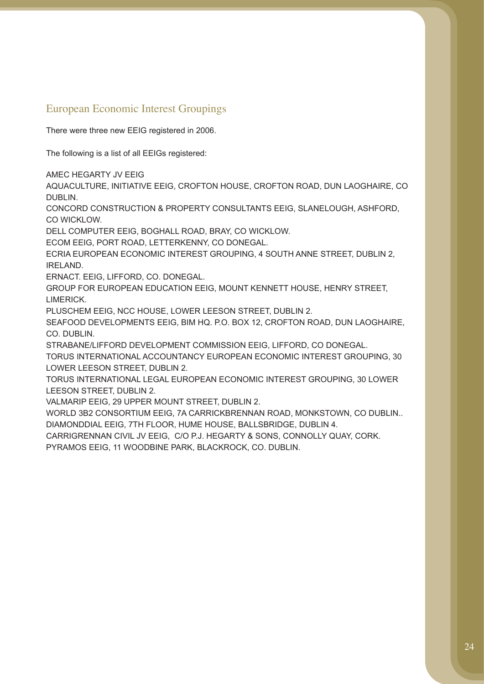## European Economic Interest Groupings

There were three new EEIG registered in 2006.

The following is a list of all EEIGs registered:

AMEC HEGARTY JV EEIG

AQUACULTURE, INITIATIVE EEIG, CROFTON HOUSE, CROFTON ROAD, DUN LAOGHAIRE, CO DUBLIN.

CONCORD CONSTRUCTION & PROPERTY CONSULTANTS EEIG, SLANELOUGH, ASHFORD, CO WICKLOW.

DELL COMPUTER EEIG, BOGHALL ROAD, BRAY, CO WICKLOW.

ECOM EEIG, PORT ROAD, LETTERKENNY, CO DONEGAL.

ECRIA EUROPEAN ECONOMIC INTEREST GROUPING, 4 SOUTH ANNE STREET, DUBLIN 2, IRELAND.

ERNACT. EEIG, LIFFORD, CO. DONEGAL.

GROUP FOR EUROPEAN EDUCATION EEIG, MOUNT KENNETT HOUSE, HENRY STREET, LIMERICK.

PLUSCHEM EEIG, NCC HOUSE, LOWER LEESON STREET, DUBLIN 2.

SEAFOOD DEVELOPMENTS EEIG, BIM HQ. P.O. BOX 12, CROFTON ROAD, DUN LAOGHAIRE, CO. DUBLIN.

STRABANE/LIFFORD DEVELOPMENT COMMISSION EEIG, LIFFORD, CO DONEGAL.

TORUS INTERNATIONAL ACCOUNTANCY EUROPEAN ECONOMIC INTEREST GROUPING, 30 LOWER LEESON STREET, DUBLIN 2.

TORUS INTERNATIONAL LEGAL EUROPEAN ECONOMIC INTEREST GROUPING, 30 LOWER LEESON STREET, DUBLIN 2.

VALMARIP EEIG, 29 UPPER MOUNT STREET, DUBLIN 2.

WORLD 3B2 CONSORTIUM EEIG, 7A CARRICKBRENNAN ROAD, MONKSTOWN, CO DUBLIN.. DIAMONDDIAL EEIG, 7TH FLOOR, HUME HOUSE, BALLSBRIDGE, DUBLIN 4.

CARRIGRENNAN CIVIL JV EEIG, C/O P.J. HEGARTY & SONS, CONNOLLY QUAY, CORK.

PYRAMOS EEIG, 11 WOODBINE PARK, BLACKROCK, CO. DUBLIN.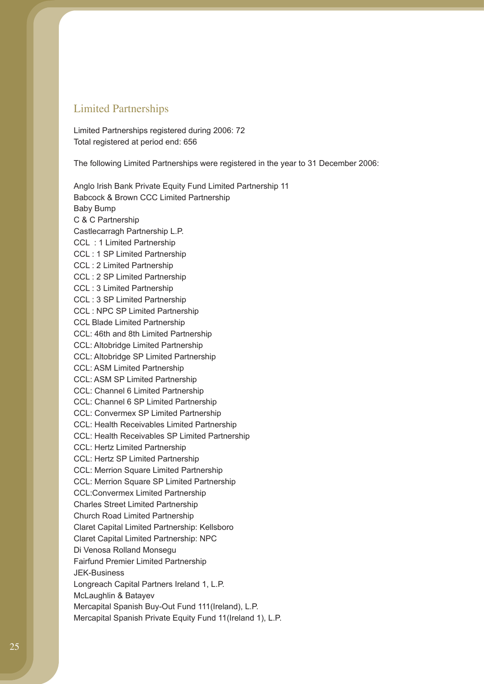### Limited Partnerships

Limited Partnerships registered during 2006: 72 Total registered at period end: 656

The following Limited Partnerships were registered in the year to 31 December 2006:

Anglo Irish Bank Private Equity Fund Limited Partnership 11 Babcock & Brown CCC Limited Partnership Baby Bump C & C Partnership Castlecarragh Partnership L.P. CCL : 1 Limited Partnership CCL : 1 SP Limited Partnership CCL : 2 Limited Partnership CCL : 2 SP Limited Partnership CCL : 3 Limited Partnership CCL : 3 SP Limited Partnership CCL : NPC SP Limited Partnership CCL Blade Limited Partnership CCL: 46th and 8th Limited Partnership CCL: Altobridge Limited Partnership CCL: Altobridge SP Limited Partnership CCL: ASM Limited Partnership CCL: ASM SP Limited Partnership CCL: Channel 6 Limited Partnership CCL: Channel 6 SP Limited Partnership CCL: Convermex SP Limited Partnership CCL: Health Receivables Limited Partnership CCL: Health Receivables SP Limited Partnership CCL: Hertz Limited Partnership CCL: Hertz SP Limited Partnership CCL: Merrion Square Limited Partnership CCL: Merrion Square SP Limited Partnership CCL:Convermex Limited Partnership Charles Street Limited Partnership Church Road Limited Partnership Claret Capital Limited Partnership: Kellsboro Claret Capital Limited Partnership: NPC Di Venosa Rolland Monsegu Fairfund Premier Limited Partnership JEK-Business Longreach Capital Partners Ireland 1, L.P. McLaughlin & Batayev Mercapital Spanish Buy-Out Fund 111(Ireland), L.P. Mercapital Spanish Private Equity Fund 11(Ireland 1), L.P.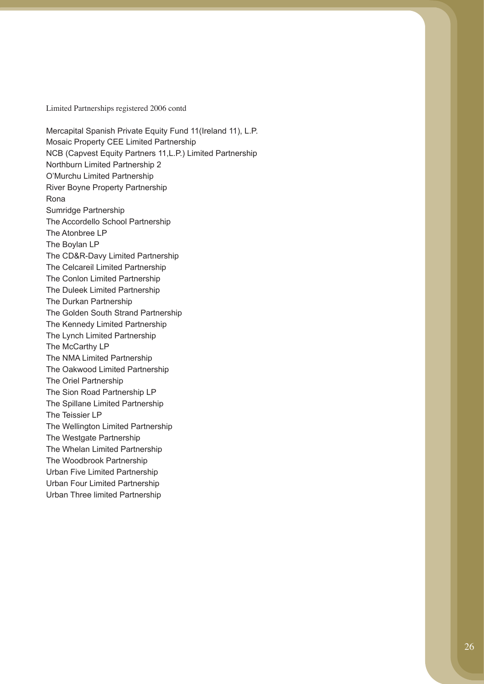Limited Partnerships registered 2006 contd

Mercapital Spanish Private Equity Fund 11(Ireland 11), L.P. Mosaic Property CEE Limited Partnership NCB (Capvest Equity Partners 11,L.P.) Limited Partnership Northburn Limited Partnership 2 O'Murchu Limited Partnership River Boyne Property Partnership Rona Sumridge Partnership The Accordello School Partnership The Atonbree LP The Boylan LP The CD&R-Davy Limited Partnership The Celcareil Limited Partnership The Conlon Limited Partnership The Duleek Limited Partnership The Durkan Partnership The Golden South Strand Partnership The Kennedy Limited Partnership The Lynch Limited Partnership The McCarthy LP The NMA Limited Partnership The Oakwood Limited Partnership The Oriel Partnership The Sion Road Partnership LP The Spillane Limited Partnership The Teissier LP The Wellington Limited Partnership The Westgate Partnership The Whelan Limited Partnership The Woodbrook Partnership Urban Five Limited Partnership Urban Four Limited Partnership Urban Three limited Partnership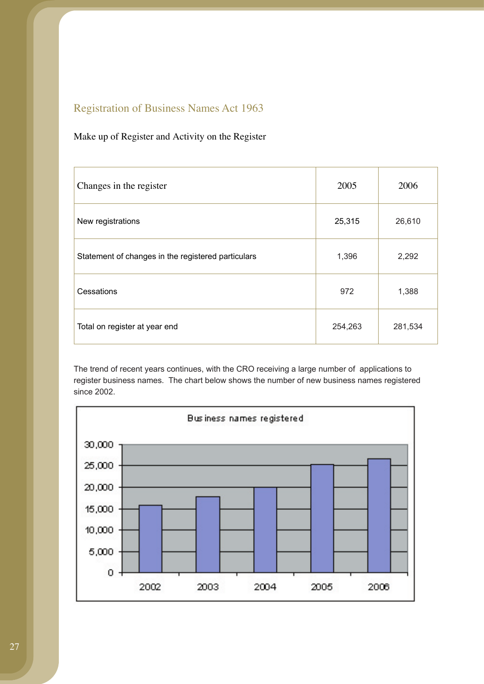# Registration of Business Names Act 1963

### Make up of Register and Activity on the Register

| Changes in the register                            | 2005    | 2006    |
|----------------------------------------------------|---------|---------|
| New registrations                                  | 25,315  | 26,610  |
| Statement of changes in the registered particulars | 1,396   | 2,292   |
| Cessations                                         | 972     | 1,388   |
| Total on register at year end                      | 254,263 | 281,534 |

The trend of recent years continues, with the CRO receiving a large number of applications to register business names. The chart below shows the number of new business names registered since 2002.

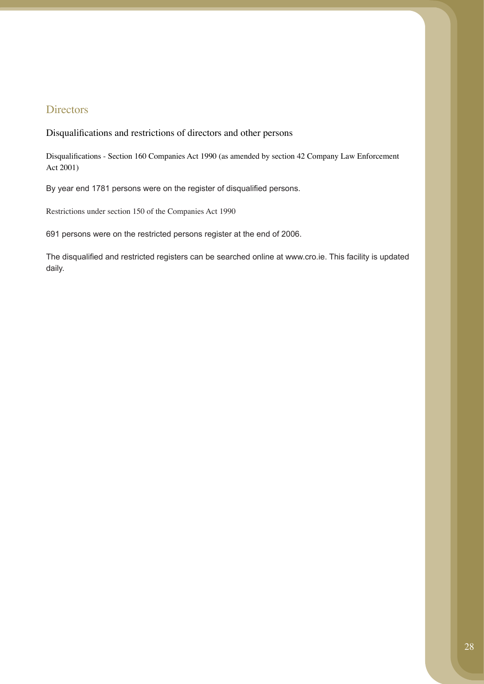### **Directors**

Disqualifications and restrictions of directors and other persons

Disqualifications - Section 160 Companies Act 1990 (as amended by section 42 Company Law Enforcement Act 2001)

By year end 1781 persons were on the register of disqualified persons.

Restrictions under section 150 of the Companies Act 1990

691 persons were on the restricted persons register at the end of 2006.

The disqualified and restricted registers can be searched online at www.cro.ie. This facility is updated daily.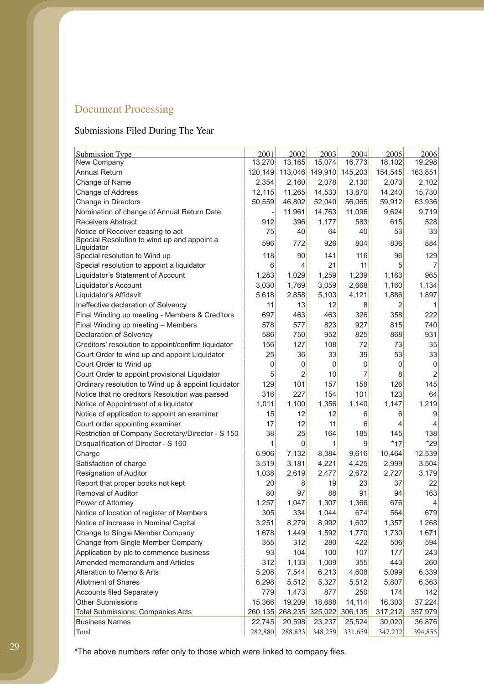# Document Processing

# Submissions Filed During The Year

| <b>Submission Type</b>                                                           | 2001     | 2002        | 2003    | 2004    | 2005    | 2006                     |
|----------------------------------------------------------------------------------|----------|-------------|---------|---------|---------|--------------------------|
| New Company                                                                      | 13,270   | 13,165      | 15,074  | 16,773  | 18,102  | 19,298                   |
| <b>Annual Return</b>                                                             | 120, 149 | 113,046     | 149,910 | 145,203 | 154,545 | 163,851                  |
| Change of Name                                                                   | 2,354    | 2,160       | 2,078   | 2,130   | 2,073   | 2,102                    |
| Change of Address                                                                | 12,115   | 11,265      | 14,533  | 13,870  | 14,240  | 15,730                   |
| Change in Directors                                                              | 50,559   | 46,802      | 52,040  | 56,065  | 59,912  | 63,936                   |
| Nomination of change of Annual Return Date                                       |          | 11,961      | 14,763  | 11,096  | 9,624   | 9,719                    |
| <b>Receivers Abstract</b>                                                        | 912      | 396         | 1,177   | 583     | 615     | 528                      |
| Notice of Receiver ceasing to act<br>Special Resolution to wind up and appoint a | 75       | 40          | 64      | 40      | 53      | 33                       |
| Liquidator                                                                       | 596      | 772         | 926     | 804     | 836     | 884                      |
| Special resolution to Wind up                                                    | 118      | 90          | 141     | 116     | 96      | 129                      |
| Special resolution to appoint a liquidator                                       | 6        | 4           | 21      | 11      | 5       | $\overline{7}$           |
| Liquidator's Statement of Account                                                | 1,283    | 1,029       | 1,259   | 1,239   | 1,163   | 965                      |
| Liquidator's Account                                                             | 3,030    | 1,769       | 3,059   | 2,668   | 1,160   | 1,134                    |
| Liquidator's Affidavit                                                           | 5,618    | 2,858       | 5,103   | 4,121   | 1,886   | 1,897                    |
| Ineffective declaration of Solvency                                              | 11       | 13          | 12      | 8       | 2       | 1                        |
| Final Winding up meeting - Members & Creditors                                   | 697      | 463         | 463     | 326     | 358     | 222                      |
| Final Winding up meeting - Members                                               | 578      | 577         | 823     | 927     | 815     | 740                      |
| Declaration of Solvency                                                          | 586      | 750         | 952     | 825     | 868     | 931                      |
| Creditors' resolution to appoint/confirm liquidator                              | 156      | 127         | 108     | 72      | 73      | 35                       |
| Court Order to wind up and appoint Liquidator                                    | 25       | 36          | 33      | 39      | 53      | 33                       |
| Court Order to Wind up                                                           | 0        | 0           | 0       | 0       | 0       | $\mathsf 0$              |
| Court Order to appoint provisional Liquidator                                    | 5        | 2           | 10      | 7       | 8       | $\overline{2}$           |
| Ordinary resolution to Wind up & appoint liquidator                              | 129      | 101         | 157     | 158     | 126     | 145                      |
| Notice that no creditors Resolution was passed                                   | 316      | 227         | 154     | 101     | 123     | 64                       |
| Notice of Appointment of a liquidator                                            | 1,011    | 1,100       | 1,356   | 1,140   | 1,147   | 1,219                    |
| Notice of application to appoint an examiner                                     | 15       | 12          | 12      | 6       | 6       | 9                        |
| Court order appointing examiner                                                  | 17       | 12          | 11      | 6       | 4       | $\overline{4}$           |
| Restriction of Company Secretary/Director - S 150                                | 38       | 25          | 164     | 185     | 145     | 138                      |
| Disqualification of Director - S 160                                             | 1        | $\mathbf 0$ | 1       | 9       | $*17$   | $*29$                    |
| Charge                                                                           | 6,906    | 7,132       | 8,384   | 9,616   | 10,464  | 12,539                   |
| Satisfaction of charge                                                           | 3,519    | 3,181       | 4,221   | 4,425   | 2,999   | 3,504                    |
| <b>Resignation of Auditor</b>                                                    | 1,038    | 2,619       | 2,477   | 2,672   | 2,727   | 3,179                    |
| Report that proper books not kept                                                | 20       | 8           | 19      | 23      | 37      | 22                       |
| <b>Removal of Auditor</b>                                                        | 80       | 97          | 88      | 91      | 94      | 163                      |
| Power of Attorney                                                                | 1,257    | 1,047       | 1,307   | 1,366   | 676     | $\overline{\mathcal{A}}$ |
| Notice of location of register of Members                                        | 305      | 334         | 1,044   | 674     | 564     | 679                      |
| Notice of increase in Nominal Capital                                            | 3,251    | 8,279       | 8,992   | 1,602   | 1,357   | 1,268                    |
| Change to Single Member Company                                                  | 1,678    | 1,449       | 1,592   | 1,770   | 1,730   | 1,671                    |
|                                                                                  |          | 312         | 280     | 422     | 506     | 594                      |
| Change from Single Member Company                                                | 355      |             |         |         |         |                          |
| Application by plc to commence business                                          | 93       | 104         | 100     | 107     | 177     | 243                      |
| Amended memorandum and Articles                                                  | 312      | 1,133       | 1,009   | 355     | 443     | 260                      |
| Alteration to Memo & Arts                                                        | 5,208    | 7,544       | 6,213   | 4,608   | 5,099   | 6,339                    |
| <b>Allotment of Shares</b>                                                       | 6,298    | 5,512       | 5,327   | 5,512   | 5,807   | 6,363                    |
| <b>Accounts filed Separately</b>                                                 | 779      | 1,473       | 877     | 250     | 174     | 142                      |
| <b>Other Submissions</b>                                                         | 15,366   | 19,209      | 18,688  | 14,114  | 16,303  | 37,224                   |
| Total Submissions; Companies Acts                                                | 260,135  | 268,235     | 325,022 | 306,135 | 317,212 | 357,979                  |
| <b>Business Names</b>                                                            | 22,745   | 20,598      | 23,237  | 25,524  | 30,020  | 36,876                   |
| Total                                                                            | 282,880  | 288,833     | 348,259 | 331,659 | 347,232 | 394,855                  |

\*The above numbers refer only to those which were linked to company files.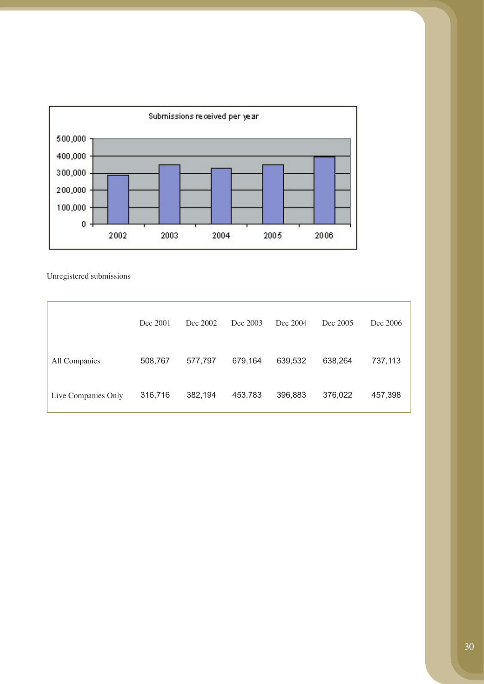

Unregistered submissions

|                     | Dec 2001 | Dec 2002 | Dec 2003 | Dec 2004 | Dec 2005 | Dec 2006 |
|---------------------|----------|----------|----------|----------|----------|----------|
| All Companies       | 508,767  | 577,797  | 679,164  | 639,532  | 638,264  | 737,113  |
| Live Companies Only | 316,716  | 382,194  | 453,783  | 396,883  | 376,022  | 457,398  |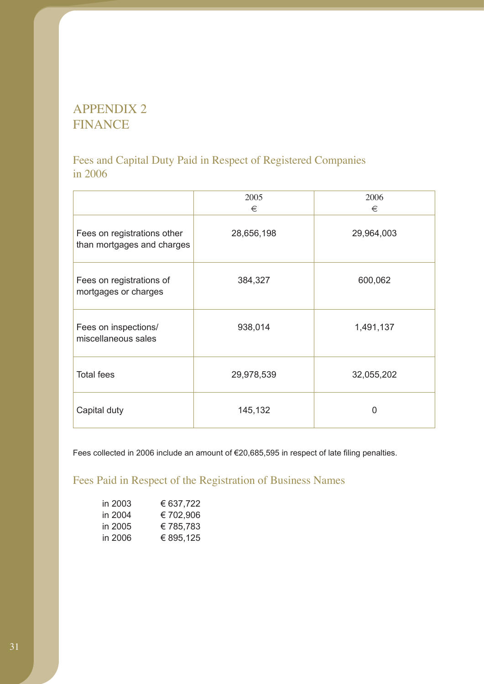# APPENDIX 2 FINANCE

# Fees and Capital Duty Paid in Respect of Registered Companies in 2006

|                                                           | 2005<br>€  | 2006<br>€  |
|-----------------------------------------------------------|------------|------------|
| Fees on registrations other<br>than mortgages and charges | 28,656,198 | 29,964,003 |
| Fees on registrations of<br>mortgages or charges          | 384,327    | 600,062    |
| Fees on inspections/<br>miscellaneous sales               | 938,014    | 1,491,137  |
| <b>Total fees</b>                                         | 29,978,539 | 32,055,202 |
| Capital duty                                              | 145,132    | 0          |

Fees collected in 2006 include an amount of €20,685,595 in respect of late filing penalties.

Fees Paid in Respect of the Registration of Business Names

| in 2003 | € 637,722 |
|---------|-----------|
| in 2004 | €702,906  |
| in 2005 | €785,783  |
| in 2006 | € 895,125 |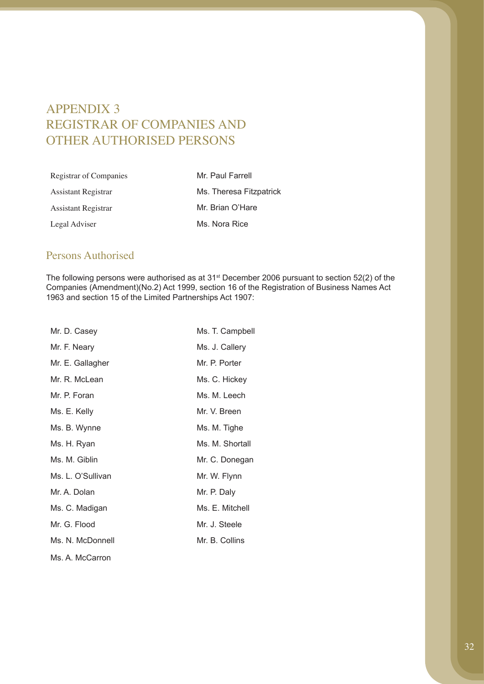# APPENDIX 3 REGISTRAR OF COMPANIES AND OTHER AUTHORISED PERSONS

| Registrar of Companies | Mr. Paul Farrell        |
|------------------------|-------------------------|
| Assistant Registrar    | Ms. Theresa Fitzpatrick |
| Assistant Registrar    | Mr. Brian O'Hare        |
| Legal Adviser          | Ms. Nora Rice           |

## Persons Authorised

The following persons were authorised as at 31st December 2006 pursuant to section 52(2) of the Companies (Amendment)(No.2) Act 1999, section 16 of the Registration of Business Names Act 1963 and section 15 of the Limited Partnerships Act 1907:

| Mr. D. Casey      | Ms. T. Campbell |
|-------------------|-----------------|
| Mr. F. Neary      | Ms. J. Callery  |
| Mr. E. Gallagher  | Mr. P. Porter   |
| Mr. R. McLean     | Ms. C. Hickey   |
| Mr. P. Foran      | Ms. M. Leech    |
| Ms. E. Kelly      | Mr. V. Breen    |
| Ms. B. Wynne      | Ms. M. Tighe    |
| Ms. H. Ryan       | Ms. M. Shortall |
| Ms. M. Giblin     | Mr. C. Donegan  |
| Ms. L. O'Sullivan | Mr. W. Flynn    |
| Mr. A. Dolan      | Mr. P. Daly     |
| Ms. C. Madigan    | Ms. E. Mitchell |
| Mr. G. Flood      | Mr. J. Steele   |
| Ms. N. McDonnell  | Mr. B. Collins  |
| Ms. A. McCarron   |                 |